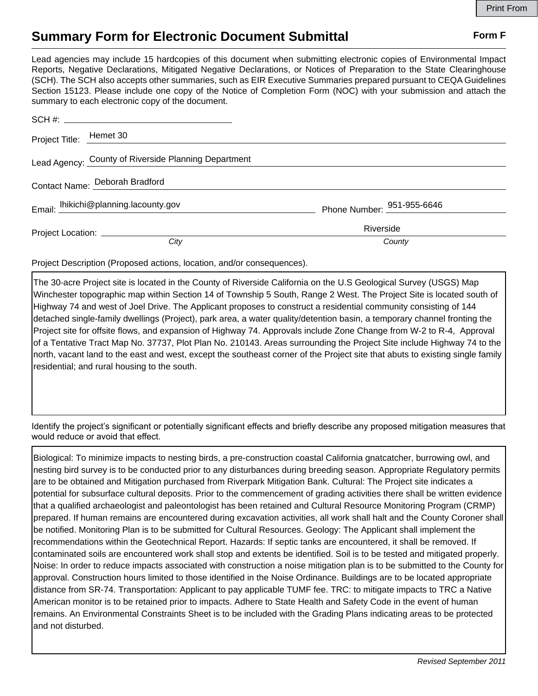## **Summary Form for Electronic Document Submittal Form F Form F**

Lead agencies may include 15 hardcopies of this document when submitting electronic copies of Environmental Impact Reports, Negative Declarations, Mitigated Negative Declarations, or Notices of Preparation to the State Clearinghouse (SCH). The SCH also accepts other summaries, such as EIR Executive Summaries prepared pursuant to CEQA Guidelines Section 15123. Please include one copy of the Notice of Completion Form (NOC) with your submission and attach the summary to each electronic copy of the document.

| Project Title: Hemet 30 |                                                      |                            |
|-------------------------|------------------------------------------------------|----------------------------|
|                         | Lead Agency: County of Riverside Planning Department |                            |
|                         | Contact Name: Deborah Bradford                       |                            |
|                         | Email: Inikichi@planning.lacounty.gov                | Phone Number: 951-955-6646 |
|                         |                                                      | Riverside                  |
|                         | City                                                 | County                     |

Project Description (Proposed actions, location, and/or consequences).

The 30‐acre Project site is located in the County of Riverside California on the U.S Geological Survey (USGS) Map Winchester topographic map within Section 14 of Township 5 South, Range 2 West. The Project Site is located south of Highway 74 and west of Joel Drive. The Applicant proposes to construct a residential community consisting of 144 detached single-family dwellings (Project), park area, a water quality/detention basin, a temporary channel fronting the Project site for offsite flows, and expansion of Highway 74. Approvals include Zone Change from W-2 to R-4, Approval of a Tentative Tract Map No. 37737, Plot Plan No. 210143. Areas surrounding the Project Site include Highway 74 to the north, vacant land to the east and west, except the southeast corner of the Project site that abuts to existing single family residential; and rural housing to the south.

Identify the project's significant or potentially significant effects and briefly describe any proposed mitigation measures that would reduce or avoid that effect.

Biological: To minimize impacts to nesting birds, a pre-construction coastal California gnatcatcher, burrowing owl, and nesting bird survey is to be conducted prior to any disturbances during breeding season. Appropriate Regulatory permits are to be obtained and Mitigation purchased from Riverpark Mitigation Bank. Cultural: The Project site indicates a potential for subsurface cultural deposits. Prior to the commencement of grading activities there shall be written evidence that a qualified archaeologist and paleontologist has been retained and Cultural Resource Monitoring Program (CRMP) prepared. If human remains are encountered during excavation activities, all work shall halt and the County Coroner shall be notified. Monitoring Plan is to be submitted for Cultural Resources. Geology: The Applicant shall implement the recommendations within the Geotechnical Report. Hazards: If septic tanks are encountered, it shall be removed. If contaminated soils are encountered work shall stop and extents be identified. Soil is to be tested and mitigated properly. Noise: In order to reduce impacts associated with construction a noise mitigation plan is to be submitted to the County for approval. Construction hours limited to those identified in the Noise Ordinance. Buildings are to be located appropriate distance from SR-74. Transportation: Applicant to pay applicable TUMF fee. TRC: to mitigate impacts to TRC a Native American monitor is to be retained prior to impacts. Adhere to State Health and Safety Code in the event of human remains. An Environmental Constraints Sheet is to be included with the Grading Plans indicating areas to be protected and not disturbed.